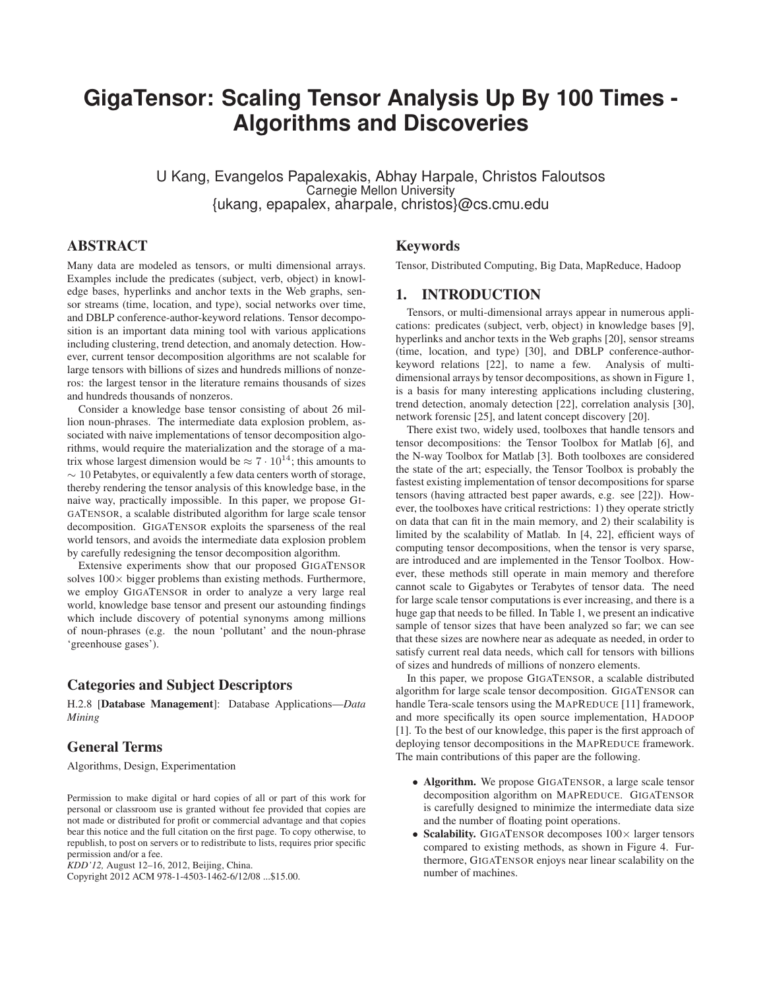# **GigaTensor: Scaling Tensor Analysis Up By 100 Times - Algorithms and Discoveries**

U Kang, Evangelos Papalexakis, Abhay Harpale, Christos Faloutsos Carnegie Mellon University {ukang, epapalex, aharpale, christos}@cs.cmu.edu

# ABSTRACT

Many data are modeled as tensors, or multi dimensional arrays. Examples include the predicates (subject, verb, object) in knowledge bases, hyperlinks and anchor texts in the Web graphs, sensor streams (time, location, and type), social networks over time, and DBLP conference-author-keyword relations. Tensor decomposition is an important data mining tool with various applications including clustering, trend detection, and anomaly detection. However, current tensor decomposition algorithms are not scalable for large tensors with billions of sizes and hundreds millions of nonzeros: the largest tensor in the literature remains thousands of sizes and hundreds thousands of nonzeros.

Consider a knowledge base tensor consisting of about 26 million noun-phrases. The intermediate data explosion problem, associated with naive implementations of tensor decomposition algorithms, would require the materialization and the storage of a matrix whose largest dimension would be  $\approx 7 \cdot 10^{14}$ ; this amounts to  $\sim$  10 Petabytes, or equivalently a few data centers worth of storage, thereby rendering the tensor analysis of this knowledge base, in the naive way, practically impossible. In this paper, we propose GI-GATENSOR, a scalable distributed algorithm for large scale tensor decomposition. GIGATENSOR exploits the sparseness of the real world tensors, and avoids the intermediate data explosion problem by carefully redesigning the tensor decomposition algorithm.

Extensive experiments show that our proposed GIGATENSOR solves  $100 \times$  bigger problems than existing methods. Furthermore, we employ GIGATENSOR in order to analyze a very large real world, knowledge base tensor and present our astounding findings which include discovery of potential synonyms among millions of noun-phrases (e.g. the noun 'pollutant' and the noun-phrase 'greenhouse gases').

# Categories and Subject Descriptors

H.2.8 [Database Management]: Database Applications—*Data Mining*

# General Terms

Algorithms, Design, Experimentation

Permission to make digital or hard copies of all or part of this work for personal or classroom use is granted without fee provided that copies are not made or distributed for profit or commercial advantage and that copies bear this notice and the full citation on the first page. To copy otherwise, to republish, to post on servers or to redistribute to lists, requires prior specific permission and/or a fee.

*KDD'12,* August 12–16, 2012, Beijing, China.

Copyright 2012 ACM 978-1-4503-1462-6/12/08 ...\$15.00.

### Keywords

Tensor, Distributed Computing, Big Data, MapReduce, Hadoop

# 1. INTRODUCTION

Tensors, or multi-dimensional arrays appear in numerous applications: predicates (subject, verb, object) in knowledge bases [9], hyperlinks and anchor texts in the Web graphs [20], sensor streams (time, location, and type) [30], and DBLP conference-authorkeyword relations [22], to name a few. Analysis of multidimensional arrays by tensor decompositions, as shown in Figure 1, is a basis for many interesting applications including clustering, trend detection, anomaly detection [22], correlation analysis [30], network forensic [25], and latent concept discovery [20].

There exist two, widely used, toolboxes that handle tensors and tensor decompositions: the Tensor Toolbox for Matlab [6], and the N-way Toolbox for Matlab [3]. Both toolboxes are considered the state of the art; especially, the Tensor Toolbox is probably the fastest existing implementation of tensor decompositions for sparse tensors (having attracted best paper awards, e.g. see [22]). However, the toolboxes have critical restrictions: 1) they operate strictly on data that can fit in the main memory, and 2) their scalability is limited by the scalability of Matlab. In [4, 22], efficient ways of computing tensor decompositions, when the tensor is very sparse, are introduced and are implemented in the Tensor Toolbox. However, these methods still operate in main memory and therefore cannot scale to Gigabytes or Terabytes of tensor data. The need for large scale tensor computations is ever increasing, and there is a huge gap that needs to be filled. In Table 1, we present an indicative sample of tensor sizes that have been analyzed so far; we can see that these sizes are nowhere near as adequate as needed, in order to satisfy current real data needs, which call for tensors with billions of sizes and hundreds of millions of nonzero elements.

In this paper, we propose GIGATENSOR, a scalable distributed algorithm for large scale tensor decomposition. GIGATENSOR can handle Tera-scale tensors using the MAPREDUCE [11] framework, and more specifically its open source implementation, HADOOP [1]. To the best of our knowledge, this paper is the first approach of deploying tensor decompositions in the MAPREDUCE framework. The main contributions of this paper are the following.

- Algorithm. We propose GIGATENSOR, a large scale tensor decomposition algorithm on MAPREDUCE. GIGATENSOR is carefully designed to minimize the intermediate data size and the number of floating point operations.
- Scalability. GIGATENSOR decomposes  $100 \times$  larger tensors compared to existing methods, as shown in Figure 4. Furthermore, GIGATENSOR enjoys near linear scalability on the number of machines.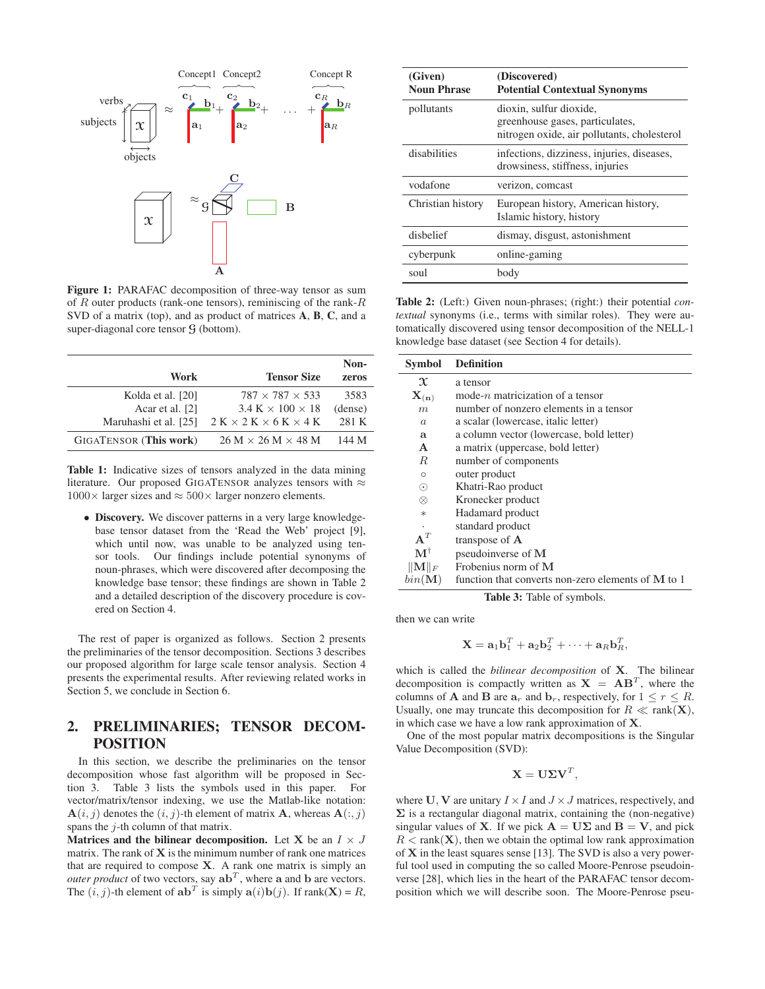

Figure 1: PARAFAC decomposition of three-way tensor as sum of  $R$  outer products (rank-one tensors), reminiscing of the rank- $R$ SVD of a matrix (top), and as product of matrices A, B, C, and a super-diagonal core tensor  $G$  (bottom).

|                               |                                        | Non-    |
|-------------------------------|----------------------------------------|---------|
| Work                          | <b>Tensor Size</b>                     | zeros   |
| Kolda et al. [20]             | $787 \times 787 \times 533$            | 3583    |
| Acar et al. [2]               | $3.4 K \times 100 \times 18$           | (dense) |
| Maruhashi et al. [25]         | $2 K \times 2 K \times 6 K \times 4 K$ | 281 K   |
| <b>GIGATENSOR</b> (This work) | $26 M \times 26 M \times 48 M$         | 144 M   |

Table 1: Indicative sizes of tensors analyzed in the data mining literature. Our proposed GIGATENSOR analyzes tensors with  $\approx$  $1000\times$  larger sizes and  $\approx 500\times$  larger nonzero elements.

• Discovery. We discover patterns in a very large knowledgebase tensor dataset from the 'Read the Web' project [9], which until now, was unable to be analyzed using tensor tools. Our findings include potential synonyms of noun-phrases, which were discovered after decomposing the knowledge base tensor; these findings are shown in Table 2 and a detailed description of the discovery procedure is covered on Section 4.

The rest of paper is organized as follows. Section 2 presents the preliminaries of the tensor decomposition. Sections 3 describes our proposed algorithm for large scale tensor analysis. Section 4 presents the experimental results. After reviewing related works in Section 5, we conclude in Section 6.

# 2. PRELIMINARIES; TENSOR DECOM-POSITION

In this section, we describe the preliminaries on the tensor decomposition whose fast algorithm will be proposed in Section 3. Table 3 lists the symbols used in this paper. For vector/matrix/tensor indexing, we use the Matlab-like notation:  $\mathbf{A}(i, j)$  denotes the  $(i, j)$ -th element of matrix  $\mathbf{A}$ , whereas  $\mathbf{A}(:, j)$ spans the  $j$ -th column of that matrix.

Matrices and the bilinear decomposition. Let X be an  $I \times J$ matrix. The rank of  $X$  is the minimum number of rank one matrices that are required to compose  $X$ . A rank one matrix is simply an *outer product* of two vectors, say  $ab^T$ , where a and b are vectors. The  $(i, j)$ -th element of  $\mathbf{ab}^T$  is simply  $\mathbf{a}(i)\mathbf{b}(j)$ . If  $\text{rank}(\mathbf{X}) = R$ ,

| (Given)<br><b>Noun Phrase</b> | (Discovered)<br><b>Potential Contextual Synonyms</b>                                                      |  |
|-------------------------------|-----------------------------------------------------------------------------------------------------------|--|
| pollutants                    | dioxin, sulfur dioxide,<br>greenhouse gases, particulates,<br>nitrogen oxide, air pollutants, cholesterol |  |
| disabilities                  | infections, dizziness, injuries, diseases,<br>drowsiness, stiffness, injuries                             |  |
| vodafone                      | verizon, comcast                                                                                          |  |
| Christian history             | European history, American history,<br>Islamic history, history                                           |  |
| disbelief                     | dismay, disgust, astonishment                                                                             |  |
| cyberpunk                     | online-gaming                                                                                             |  |
| soul                          | body                                                                                                      |  |

Table 2: (Left:) Given noun-phrases; (right:) their potential *contextual* synonyms (i.e., terms with similar roles). They were automatically discovered using tensor decomposition of the NELL-1 knowledge base dataset (see Section 4 for details).

| <b>Symbol</b>               | <b>Definition</b>                                    |
|-----------------------------|------------------------------------------------------|
| $\mathfrak{X}$              | a tensor                                             |
| $\mathbf{X}_{(\mathbf{n})}$ | mode- $n$ matricization of a tensor                  |
| m                           | number of nonzero elements in a tensor               |
| $\alpha$                    | a scalar (lowercase, italic letter)                  |
| a                           | a column vector (lowercase, bold letter)             |
| $\mathbf{A}$                | a matrix (uppercase, bold letter)                    |
| R.                          | number of components                                 |
| Ω                           | outer product                                        |
| $\odot$                     | Khatri-Rao product                                   |
| $\otimes$                   | Kronecker product                                    |
| $\ast$                      | Hadamard product                                     |
|                             | standard product                                     |
| $A^T$                       | transpose of A                                       |
| $\mathbf{M}^{\dagger}$      | pseudoinverse of M                                   |
| $\ \mathbf{M}\ _F$          | Frobenius norm of M                                  |
| $bin(\mathbf{M})$           | function that converts non-zero elements of $M$ to 1 |

Table 3: Table of symbols.

then we can write

$$
\mathbf{X} = \mathbf{a}_1 \mathbf{b}_1^T + \mathbf{a}_2 \mathbf{b}_2^T + \cdots + \mathbf{a}_R \mathbf{b}_R^T,
$$

which is called the *bilinear decomposition* of X. The bilinear decomposition is compactly written as  $X = AB^T$ , where the columns of **A** and **B** are  $a_r$  and  $b_r$ , respectively, for  $1 \leq r \leq R$ . Usually, one may truncate this decomposition for  $R \ll \text{rank}(\mathbf{X})$ , in which case we have a low rank approximation of X.

One of the most popular matrix decompositions is the Singular Value Decomposition (SVD):

$$
\mathbf{X} = \mathbf{U} \mathbf{\Sigma} \mathbf{V}^T,
$$

where U, V are unitary  $I \times I$  and  $J \times J$  matrices, respectively, and  $\Sigma$  is a rectangular diagonal matrix, containing the (non-negative) singular values of **X**. If we pick  $A = U\Sigma$  and  $B = V$ , and pick  $R < \text{rank}(\mathbf{X})$ , then we obtain the optimal low rank approximation of X in the least squares sense [13]. The SVD is also a very powerful tool used in computing the so called Moore-Penrose pseudoinverse [28], which lies in the heart of the PARAFAC tensor decomposition which we will describe soon. The Moore-Penrose pseu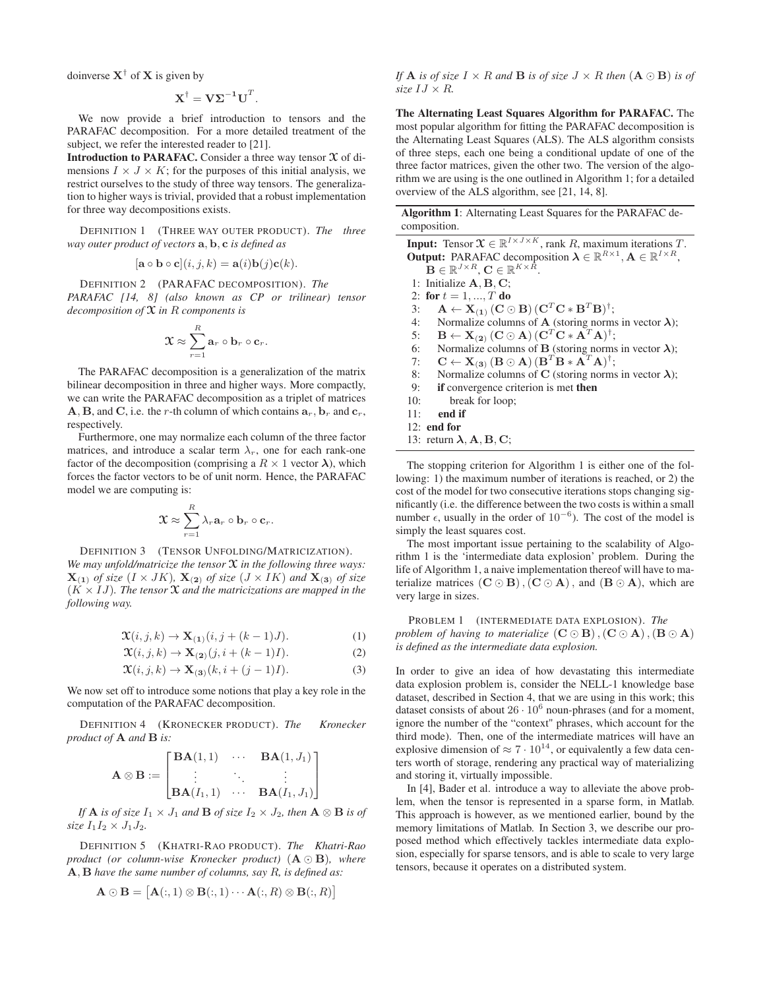doinverse  $X^{\dagger}$  of X is given by

$$
\mathbf{X}^{\dagger} = \mathbf{V} \mathbf{\Sigma}^{-1} \mathbf{U}^T.
$$

We now provide a brief introduction to tensors and the PARAFAC decomposition. For a more detailed treatment of the subject, we refer the interested reader to [21].

Introduction to PARAFAC. Consider a three way tensor  $\mathfrak X$  of dimensions  $I \times J \times K$ ; for the purposes of this initial analysis, we restrict ourselves to the study of three way tensors. The generalization to higher ways is trivial, provided that a robust implementation for three way decompositions exists.

DEFINITION 1 (THREE WAY OUTER PRODUCT). *The three way outer product of vectors* a, b, c *is defined as*

$$
[\mathbf{a} \circ \mathbf{b} \circ \mathbf{c}](i, j, k) = \mathbf{a}(i)\mathbf{b}(j)\mathbf{c}(k).
$$

DEFINITION 2 (PARAFAC DECOMPOSITION). *The PARAFAC [14, 8] (also known as CP or trilinear) tensor decomposition of* X *in* R *components is*

$$
\mathfrak{X} \approx \sum_{r=1}^R \mathbf{a}_r \circ \mathbf{b}_r \circ \mathbf{c}_r.
$$

The PARAFAC decomposition is a generalization of the matrix bilinear decomposition in three and higher ways. More compactly, we can write the PARAFAC decomposition as a triplet of matrices **A**, **B**, and **C**, i.e. the r-th column of which contains  $a_r$ ,  $b_r$  and  $c_r$ , respectively.

Furthermore, one may normalize each column of the three factor matrices, and introduce a scalar term  $\lambda_r$ , one for each rank-one factor of the decomposition (comprising a  $R \times 1$  vector  $\lambda$ ), which forces the factor vectors to be of unit norm. Hence, the PARAFAC model we are computing is:

$$
\mathfrak{X} \approx \sum_{r=1}^R \lambda_r \mathbf{a}_r \circ \mathbf{b}_r \circ \mathbf{c}_r.
$$

DEFINITION 3 (TENSOR UNFOLDING/MATRICIZATION). *We may unfold/matricize the tensor* X *in the following three ways:*  $\mathbf{X}_{(1)}$  *of size*  $(I \times JK)$ *,*  $\mathbf{X}_{(2)}$  *of size*  $(J \times IK)$  *and*  $\mathbf{X}_{(3)}$  *of size*  $(K \times IJ)$ *. The tensor*  $\mathfrak X$  *and the matricizations are mapped in the following way.*

$$
\mathfrak{X}(i,j,k) \to \mathbf{X}_{(1)}(i,j+(k-1)J). \tag{1}
$$

$$
\mathfrak{X}(i,j,k) \to \mathbf{X}_{(2)}(j,i+(k-1)I). \tag{2}
$$

$$
\mathfrak{X}(i,j,k) \to \mathbf{X}_{(3)}(k,i+(j-1)I). \tag{3}
$$

We now set off to introduce some notions that play a key role in the computation of the PARAFAC decomposition.

DEFINITION 4 (KRONECKER PRODUCT). *The Kronecker product of* A *and* B *is:*

$$
\mathbf{A} \otimes \mathbf{B} := \begin{bmatrix} \mathbf{BA}(1,1) & \cdots & \mathbf{BA}(1,J_1) \\ \vdots & \ddots & \vdots \\ \mathbf{BA}(I_1,1) & \cdots & \mathbf{BA}(I_1,J_1) \end{bmatrix}
$$

*If* **A** *is of size*  $I_1 \times J_1$  *and* **B** *of size*  $I_2 \times J_2$ *, then*  $\mathbf{A} \otimes \mathbf{B}$  *is of*  $size I_1I_2 \times J_1J_2.$ 

DEFINITION 5 (KHATRI-RAO PRODUCT). *The Khatri-Rao product (or column-wise Kronecker product)* (A ⊙ B)*, where* A, B *have the same number of columns, say* R*, is defined as:*

$$
\mathbf{A}\odot\mathbf{B} = [\mathbf{A}(:,1)\otimes\mathbf{B}(:,1)\cdots\mathbf{A}(:,R)\otimes\mathbf{B}(:,R)]
$$

*If* **A** *is of size*  $I \times R$  *and* **B** *is of size*  $J \times R$  *then*  $(A \odot B)$  *is of size*  $IJ \times R$ *.* 

The Alternating Least Squares Algorithm for PARAFAC. The most popular algorithm for fitting the PARAFAC decomposition is the Alternating Least Squares (ALS). The ALS algorithm consists of three steps, each one being a conditional update of one of the three factor matrices, given the other two. The version of the algorithm we are using is the one outlined in Algorithm 1; for a detailed overview of the ALS algorithm, see [21, 14, 8].

Algorithm 1: Alternating Least Squares for the PARAFAC decomposition.

**Input:** Tensor  $\mathcal{X} \in \mathbb{R}^{I \times J \times K}$ , rank R, maximum iterations T. **Output:** PARAFAC decomposition  $\lambda \in \mathbb{R}^{R \times 1}$ ,  $\mathbf{A} \in \mathbb{R}^{I \times R}$ ,  $\mathbf{B} \in \mathbb{R}^{J \times R}, \mathbf{C} \in \mathbb{R}^{K \times \bar{R}}.$ 1: Initialize A, B, C; 2: for  $t = 1, ..., T$  do 3:  $\mathbf{A} \leftarrow \mathbf{X}_{(1)} (\mathbf{C} \odot \mathbf{B}) (\mathbf{C}^T \mathbf{C} \ast \mathbf{B}^T \mathbf{B})^{\dagger};$ 4: Normalize columns of **A** (storing norms in vector  $\lambda$ );  $\mathbf{B}\leftarrow \mathbf{X_{(2)}}\,(\mathbf{C}\odot\mathbf{A})\,(\mathbf{C}^T\mathbf{C}*\mathbf{A}^T\mathbf{A})^\dagger;$ 6: Normalize columns of **B** (storing norms in vector  $\lambda$ ); 7:  $\mathbf{C} \leftarrow \mathbf{X}_{(3)} (\mathbf{B} \odot \mathbf{A}) (\mathbf{B}^T \mathbf{B} \ast \mathbf{A}^T \mathbf{A})^{\dagger};$ 8: Normalize columns of C (storing norms in vector  $\lambda$ ); 9: if convergence criterion is met then 10: break for loop; 11: end if 12: end for 13: return  $\lambda$ ,  $A$ ,  $B$ ,  $C$ ;

The stopping criterion for Algorithm 1 is either one of the following: 1) the maximum number of iterations is reached, or 2) the cost of the model for two consecutive iterations stops changing significantly (i.e. the difference between the two costs is within a small number  $\epsilon$ , usually in the order of 10<sup>-6</sup>). The cost of the model is simply the least squares cost.

The most important issue pertaining to the scalability of Algorithm 1 is the 'intermediate data explosion' problem. During the life of Algorithm 1, a naive implementation thereof will have to materialize matrices  $(C \odot B)$ ,  $(C \odot A)$ , and  $(B \odot A)$ , which are very large in sizes.

PROBLEM 1 (INTERMEDIATE DATA EXPLOSION). *The problem of having to materialize*  $(C \odot B)$ ,  $(C \odot A)$ ,  $(B \odot A)$ *is defined as the intermediate data explosion.*

In order to give an idea of how devastating this intermediate data explosion problem is, consider the NELL-1 knowledge base dataset, described in Section 4, that we are using in this work; this dataset consists of about  $26 \cdot 10^6$  noun-phrases (and for a moment, ignore the number of the "context" phrases, which account for the third mode). Then, one of the intermediate matrices will have an explosive dimension of  $\approx 7 \cdot 10^{14}$ , or equivalently a few data centers worth of storage, rendering any practical way of materializing and storing it, virtually impossible.

In [4], Bader et al. introduce a way to alleviate the above problem, when the tensor is represented in a sparse form, in Matlab. This approach is however, as we mentioned earlier, bound by the memory limitations of Matlab. In Section 3, we describe our proposed method which effectively tackles intermediate data explosion, especially for sparse tensors, and is able to scale to very large tensors, because it operates on a distributed system.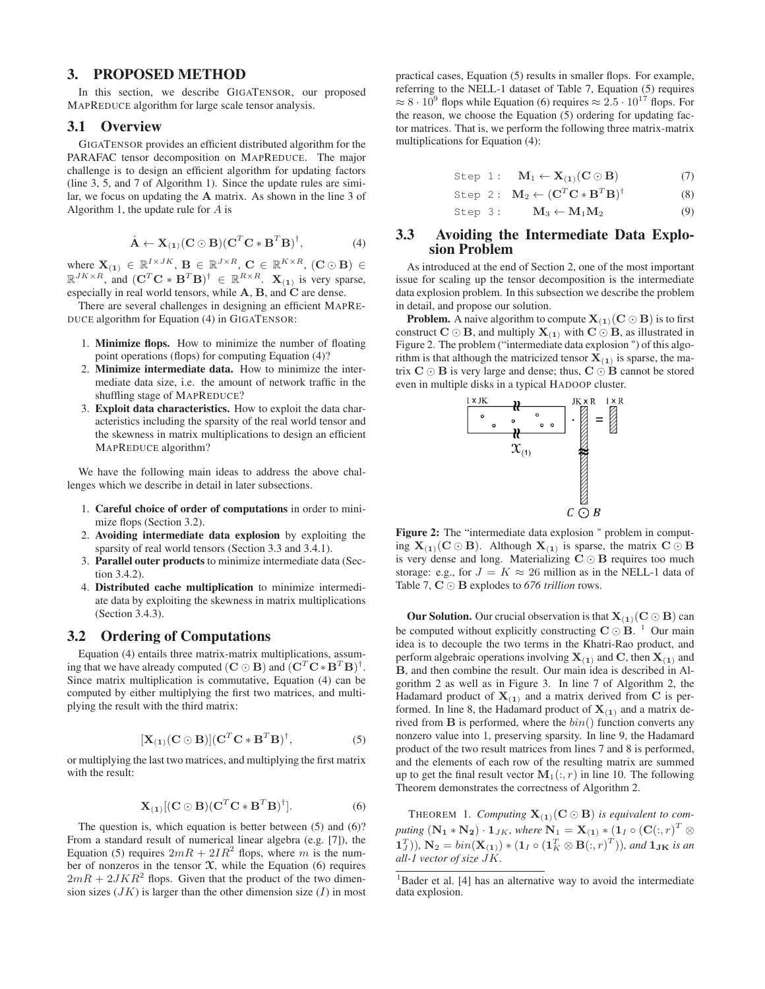#### 3. PROPOSED METHOD

In this section, we describe GIGATENSOR, our proposed MAPREDUCE algorithm for large scale tensor analysis.

#### 3.1 Overview

GIGATENSOR provides an efficient distributed algorithm for the PARAFAC tensor decomposition on MAPREDUCE. The major challenge is to design an efficient algorithm for updating factors (line 3, 5, and 7 of Algorithm 1). Since the update rules are similar, we focus on updating the A matrix. As shown in the line 3 of Algorithm 1, the update rule for A is

$$
\hat{\mathbf{A}} \leftarrow \mathbf{X}_{(1)}(\mathbf{C} \odot \mathbf{B})(\mathbf{C}^T \mathbf{C} * \mathbf{B}^T \mathbf{B})^{\dagger}, \tag{4}
$$

where  $\mathbf{X}_{(1)} \in \mathbb{R}^{I \times JK}$ ,  $\mathbf{B} \in \mathbb{R}^{J \times R}$ ,  $\mathbf{C} \in \mathbb{R}^{K \times R}$ ,  $(\mathbf{C} \odot \mathbf{B}) \in$  $\mathbb{R}^{JK \times R}$ , and  $(\mathbf{C}^T \mathbf{C} * \mathbf{B}^T \mathbf{B})^{\dagger} \in \mathbb{R}^{R \times R}$ .  $\mathbf{X}_{(1)}$  is very sparse, especially in real world tensors, while A, B, and C are dense.

There are several challenges in designing an efficient MAPRE-DUCE algorithm for Equation (4) in GIGATENSOR:

- 1. Minimize flops. How to minimize the number of floating point operations (flops) for computing Equation (4)?
- 2. Minimize intermediate data. How to minimize the intermediate data size, i.e. the amount of network traffic in the shuffling stage of MAPREDUCE?
- 3. Exploit data characteristics. How to exploit the data characteristics including the sparsity of the real world tensor and the skewness in matrix multiplications to design an efficient MAPREDUCE algorithm?

We have the following main ideas to address the above challenges which we describe in detail in later subsections.

- 1. Careful choice of order of computations in order to minimize flops (Section 3.2).
- 2. Avoiding intermediate data explosion by exploiting the sparsity of real world tensors (Section 3.3 and 3.4.1).
- 3. Parallel outer products to minimize intermediate data (Section  $3.4.2$ ).
- 4. Distributed cache multiplication to minimize intermediate data by exploiting the skewness in matrix multiplications (Section 3.4.3).

#### 3.2 Ordering of Computations

Equation (4) entails three matrix-matrix multiplications, assuming that we have already computed  $({\bf C} \odot {\bf B})$  and  $({\bf C}^T{\bf C} * {\bf B}^T{\bf B})^{\dagger}$ . Since matrix multiplication is commutative, Equation (4) can be computed by either multiplying the first two matrices, and multiplying the result with the third matrix:

$$
[\mathbf{X}_{(1)}(\mathbf{C} \odot \mathbf{B})](\mathbf{C}^T \mathbf{C} * \mathbf{B}^T \mathbf{B})^{\dagger}, \tag{5}
$$

or multiplying the last two matrices, and multiplying the first matrix with the result:

$$
\mathbf{X}_{(1)}[(\mathbf{C}\odot\mathbf{B})(\mathbf{C}^T\mathbf{C}*\mathbf{B}^T\mathbf{B})^{\dagger}].
$$
 (6)

The question is, which equation is better between (5) and (6)? From a standard result of numerical linear algebra (e.g. [7]), the Equation (5) requires  $2mR + 2IR^2$  flops, where m is the number of nonzeros in the tensor  $\mathfrak X$ , while the Equation (6) requires  $2mR + 2JKR<sup>2</sup>$  flops. Given that the product of the two dimension sizes  $(JK)$  is larger than the other dimension size  $(I)$  in most practical cases, Equation (5) results in smaller flops. For example, referring to the NELL-1 dataset of Table 7, Equation (5) requires  $\approx 8 \cdot 10^9$  flops while Equation (6) requires  $\approx 2.5 \cdot 10^{17}$  flops. For the reason, we choose the Equation (5) ordering for updating factor matrices. That is, we perform the following three matrix-matrix multiplications for Equation (4):

Step 1: 
$$
\mathbf{M}_1 \leftarrow \mathbf{X}_{(1)}(\mathbf{C} \odot \mathbf{B})
$$
 (7)

Step 2: 
$$
\mathbf{M}_2 \leftarrow (\mathbf{C}^T \mathbf{C} * \mathbf{B}^T \mathbf{B})^{\dagger}
$$
 (8)

Step 3: 
$$
\mathbf{M}_3 \leftarrow \mathbf{M}_1 \mathbf{M}_2
$$
 (9)

## 3.3 Avoiding the Intermediate Data Explosion Problem

As introduced at the end of Section 2, one of the most important issue for scaling up the tensor decomposition is the intermediate data explosion problem. In this subsection we describe the problem in detail, and propose our solution.

**Problem.** A naive algorithm to compute  $X_{(1)}(C \odot B)$  is to first construct  $C \odot B$ , and multiply  $X_{(1)}$  with  $C \odot B$ , as illustrated in Figure 2. The problem ("intermediate data explosion ") of this algorithm is that although the matricized tensor  $X_{(1)}$  is sparse, the matrix  $C \odot B$  is very large and dense; thus,  $C \odot B$  cannot be stored even in multiple disks in a typical HADOOP cluster.



Figure 2: The "intermediate data explosion " problem in computing  $X_{(1)}(C \odot B)$ . Although  $X_{(1)}$  is sparse, the matrix  $C \odot B$ is very dense and long. Materializing  $C \odot B$  requires too much storage: e.g., for  $J = K \approx 26$  million as in the NELL-1 data of Table 7, C ⊙ B explodes to *676 trillion* rows.

**Our Solution.** Our crucial observation is that  $X_{(1)}(C \odot B)$  can be computed without explicitly constructing  $C \odot B$ . <sup>1</sup> Our main idea is to decouple the two terms in the Khatri-Rao product, and perform algebraic operations involving  $X_{(1)}$  and C, then  $X_{(1)}$  and B, and then combine the result. Our main idea is described in Algorithm 2 as well as in Figure 3. In line 7 of Algorithm 2, the Hadamard product of  $X_{(1)}$  and a matrix derived from C is performed. In line 8, the Hadamard product of  $X_{(1)}$  and a matrix derived from  $\bf{B}$  is performed, where the  $bin()$  function converts any nonzero value into 1, preserving sparsity. In line 9, the Hadamard product of the two result matrices from lines 7 and 8 is performed, and the elements of each row of the resulting matrix are summed up to get the final result vector  $\mathbf{M}_1(:, r)$  in line 10. The following Theorem demonstrates the correctness of Algorithm 2.

THEOREM 1. *Computing*  $X_{(1)}$ ( $C \odot B$ ) *is equivalent to com*puting  $(\mathbf{N_1} * \mathbf{N_2}) \cdot \mathbf{1}_{JK}$ , where  $\mathbf{N_1} = \mathbf{X_{(1)}} * (\mathbf{1}_I \circ (\mathbf{C}(:,r)^T \otimes$  $(\mathbf{1}_J^T)$ )*,*  $\mathbf{N}_2 = bin(\mathbf{X}_{(1)}) * (\mathbf{1}_I \circ (\mathbf{1}_K^T \otimes \mathbf{B}(:,r)^T))$ *, and*  $\mathbf{1}_{\mathbf{JK}}$  *is an all-1 vector of size* JK*.*

<sup>&</sup>lt;sup>1</sup>Bader et al. [4] has an alternative way to avoid the intermediate data explosion.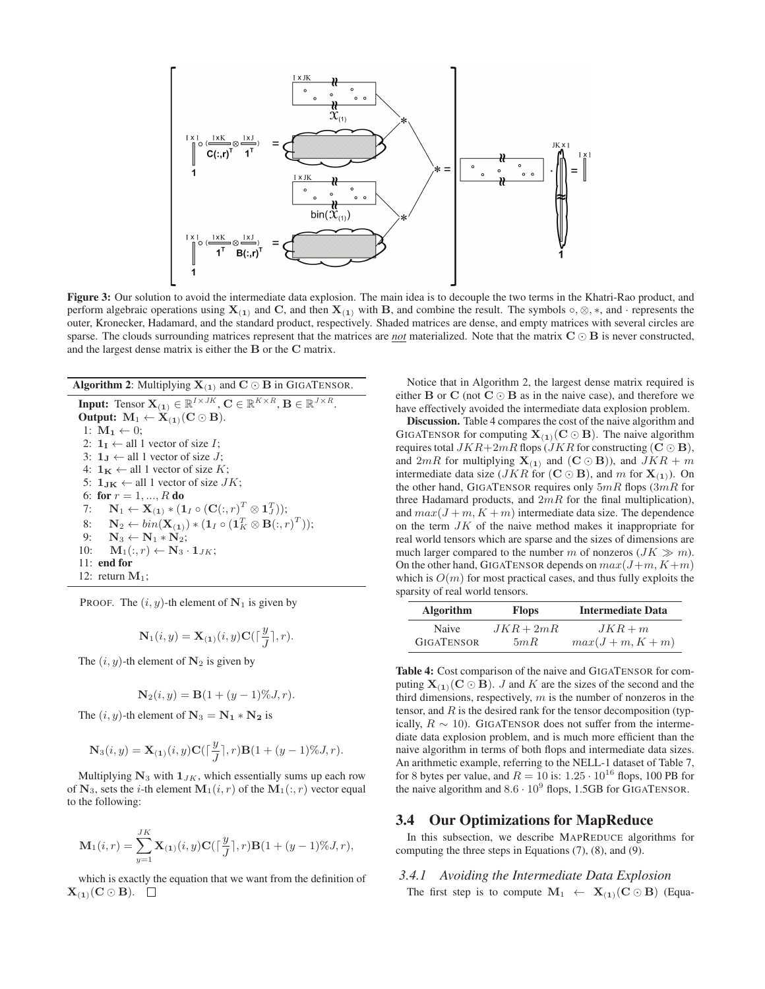

Figure 3: Our solution to avoid the intermediate data explosion. The main idea is to decouple the two terms in the Khatri-Rao product, and perform algebraic operations using  $X_{(1)}$  and C, and then  $X_{(1)}$  with B, and combine the result. The symbols  $\circ$ ,  $\otimes$ ,  $\ast$ , and · represents the outer, Kronecker, Hadamard, and the standard product, respectively. Shaded matrices are dense, and empty matrices with several circles are sparse. The clouds surrounding matrices represent that the matrices are *not* materialized. Note that the matrix C ⊙ B is never constructed, and the largest dense matrix is either the B or the C matrix.

Algorithm 2: Multiplying  $X_{(1)}$  and  $C \odot B$  in GIGATENSOR.

**Input:** Tensor  $\mathbf{X}_{(1)} \in \mathbb{R}^{I \times JK}$ ,  $\mathbf{C} \in \mathbb{R}^{K \times R}$ ,  $\mathbf{B} \in \mathbb{R}^{J \times R}$ . Output:  $M_1 \leftarrow X_{(1)}(C \odot B)$ . 1:  $\mathbf{M}_1 \leftarrow 0$ ; 2:  $1_I \leftarrow$  all 1 vector of size *I*; 3:  $1_J \leftarrow$  all 1 vector of size J; 4:  $1_K \leftarrow$  all 1 vector of size K; 5:  $1_{\text{JK}} \leftarrow$  all 1 vector of size  $JK$ ; 6: for  $r = 1, ..., R$  do 7:  $\mathbf{N}_1 \leftarrow \mathbf{X}_{(1)} * (\mathbf{1}_I \circ (\mathbf{C}(:,r)^T \otimes \mathbf{1}_J^T));$ 8: **N**<sub>2</sub> ←  $bin(\mathbf{X_{(1)}})*(1_I \circ (1_K^T \otimes \mathbf{B}(:,r)^T));$ 9:  $N_3 \leftarrow N_1 * N_2$ ; 10:  $\mathbf{M}_1(:, r) \leftarrow \mathbf{N}_3 \cdot \mathbf{1}_{JK};$ 11: end for 12: return  $M_1$ ;

PROOF. The  $(i, y)$ -th element of  $N_1$  is given by

$$
\mathbf{N}_1(i, y) = \mathbf{X}_{(1)}(i, y)\mathbf{C}(\lceil \frac{y}{J}\rceil, r).
$$

The  $(i, y)$ -th element of  $N_2$  is given by

$$
\mathbf{N}_2(i, y) = \mathbf{B}(1 + (y - 1)\%, J, r).
$$

The  $(i, y)$ -th element of  $N_3 = N_1 * N_2$  is

$$
\mathbf{N}_3(i, y) = \mathbf{X}_{(1)}(i, y) \mathbf{C}(\lceil \frac{y}{J} \rceil, r) \mathbf{B}(1 + (y - 1)\% J, r).
$$

Multiplying  $N_3$  with  $1_{JK}$ , which essentially sums up each row of  $N_3$ , sets the *i*-th element  $M_1(i, r)$  of the  $M_1(:, r)$  vector equal to the following:

$$
\mathbf{M}_{1}(i,r) = \sum_{y=1}^{JK} \mathbf{X}_{(1)}(i,y) \mathbf{C}(\lceil \frac{y}{J} \rceil, r) \mathbf{B}(1+(y-1)\%, J, r),
$$

which is exactly the equation that we want from the definition of  $X_{(1)}(C \odot B)$ .  $\square$ 

Notice that in Algorithm 2, the largest dense matrix required is either **B** or **C** (not **C** $\odot$ **B** as in the naive case), and therefore we have effectively avoided the intermediate data explosion problem.

Discussion. Table 4 compares the cost of the naive algorithm and GIGATENSOR for computing  $X_{(1)}(C \odot B)$ . The naive algorithm requires total  $JKR+2mR$  flops ( $JKR$  for constructing ( $\mathbf{C} \odot \mathbf{B}$ ), and  $2mR$  for multiplying  $\mathbf{X}_{(1)}$  and  $(\mathbf{C} \odot \mathbf{B})$ ), and  $JKR + m$ intermediate data size ( $JKR$  for ( $\mathbf{C} \odot \mathbf{B}$ ), and m for  $\mathbf{X}_{(1)}$ ). On the other hand, GIGATENSOR requires only  $5mR$  flops  $(3mR)$  for three Hadamard products, and  $2mR$  for the final multiplication), and  $max(J + m, K + m)$  intermediate data size. The dependence on the term  $JK$  of the naive method makes it inappropriate for real world tensors which are sparse and the sizes of dimensions are much larger compared to the number m of nonzeros  $(JK \gg m)$ . On the other hand, GIGATENSOR depends on  $max(J+m, K+m)$ which is  $O(m)$  for most practical cases, and thus fully exploits the sparsity of real world tensors.

| <b>Algorithm</b>  | <b>Intermediate Data</b><br><b>Flops</b> |                 |
|-------------------|------------------------------------------|-----------------|
| Naive             | $JKR+2mR$                                | $JKR+m$         |
| <b>GIGATENSOR</b> | 5mR                                      | $max(J+m, K+m)$ |

Table 4: Cost comparison of the naive and GIGATENSOR for computing  $X_{(1)}(C \odot B)$ . J and K are the sizes of the second and the third dimensions, respectively,  $m$  is the number of nonzeros in the tensor, and  $R$  is the desired rank for the tensor decomposition (typically,  $R \sim 10$ ). GIGATENSOR does not suffer from the intermediate data explosion problem, and is much more efficient than the naive algorithm in terms of both flops and intermediate data sizes. An arithmetic example, referring to the NELL-1 dataset of Table 7, for 8 bytes per value, and  $R = 10$  is:  $1.25 \cdot 10^{16}$  flops, 100 PB for the naive algorithm and  $8.6 \cdot 10^9$  flops, 1.5GB for GIGATENSOR.

#### 3.4 Our Optimizations for MapReduce

In this subsection, we describe MAPREDUCE algorithms for computing the three steps in Equations (7), (8), and (9).

# *3.4.1 Avoiding the Intermediate Data Explosion* The first step is to compute  $M_1 \leftarrow X_{(1)}(C \odot B)$  (Equa-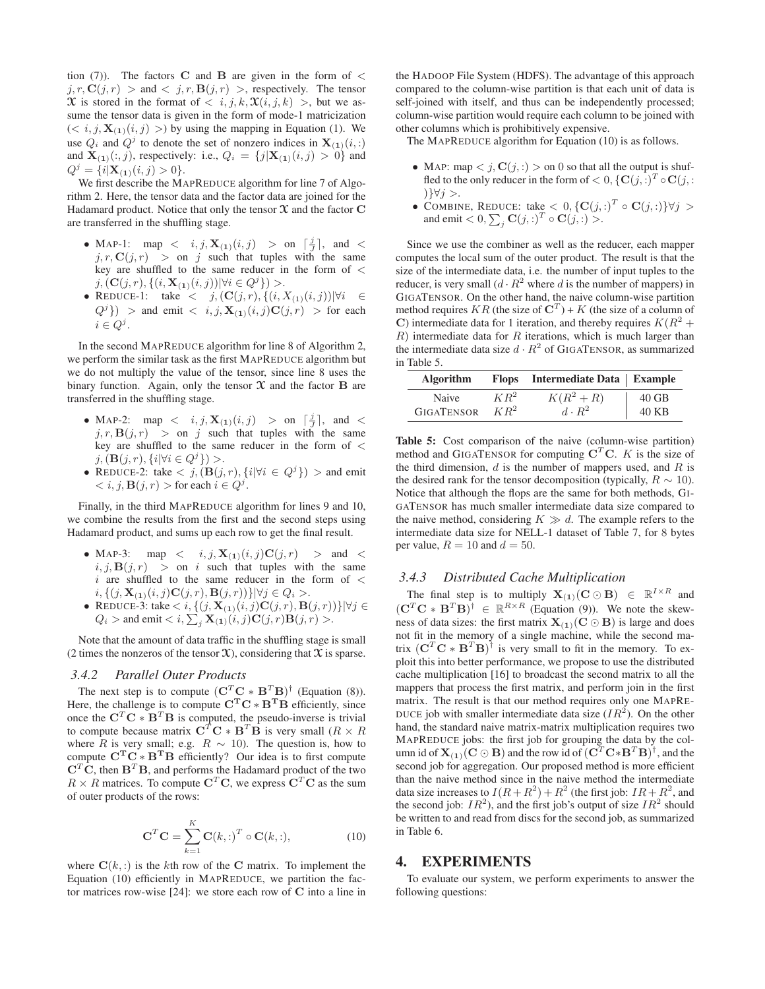tion (7)). The factors C and B are given in the form of  $\lt$  $j, r, \mathbf{C}(j, r) > \text{and} < j, r, \mathbf{B}(j, r) >$ , respectively. The tensor X is stored in the format of  $\langle i, j, k, \mathfrak{X}(i, j, k) \rangle$ , but we assume the tensor data is given in the form of mode-1 matricization  $(< i, j, \mathbf{X}_{(1)}(i, j)>)$  by using the mapping in Equation (1). We use  $Q_i$  and  $Q^j$  to denote the set of nonzero indices in  $\mathbf{X}_{(1)}(i,:)$ and  $\mathbf{X}_{(1)}(:, j)$ , respectively: i.e.,  $Q_i = \{j | \mathbf{X}_{(1)}(i, j) > 0\}$  and  $Q^j = \{i | \mathbf{X}_{(1)}(i,j) > 0\}.$ 

We first describe the MAPREDUCE algorithm for line 7 of Algorithm 2. Here, the tensor data and the factor data are joined for the Hadamard product. Notice that only the tensor  $\mathfrak X$  and the factor  $\mathbf C$ are transferred in the shuffling stage.

- MAP-1: map  $\langle i, j, \mathbf{X}_{(1)}(i,j) \rangle$  > on  $\lceil \frac{j}{J} \rceil$ , and  $\langle j \rangle$  $j, r, \mathbf{C}(j, r) >$  on j such that tuples with the same key are shuffled to the same reducer in the form of  $\lt$  $j, (\mathbf{C}(j, r), \{(i, \mathbf{X}_{(1)}(i, j)) | \forall i \in Q^{j}\}) >.$
- REDUCE-1: take  $\langle j, (\mathbf{C}(j, r), \{(i, X_{(1)}(i, j)) | \forall i \in \mathbb{N}\}\rangle$  $(Q<sup>j</sup>)$  > and emit < i, j,  $\mathbf{X}_{(1)}(i,j)\mathbf{C}(j,r)$  > for each  $i \in Q^j$ .

In the second MAPREDUCE algorithm for line 8 of Algorithm 2, we perform the similar task as the first MAPREDUCE algorithm but we do not multiply the value of the tensor, since line 8 uses the binary function. Again, only the tensor  $X$  and the factor  $B$  are transferred in the shuffling stage.

- MAP-2: map  $\langle i, j, \mathbf{X}_{(1)}(i, j) \rangle$  > on  $\lceil \frac{j}{J} \rceil$ , and  $\langle j \rangle$  $j, r, B(j, r)$  > on j such that tuples with the same key are shuffled to the same reducer in the form of <  $j, (\mathbf{B}(j, r), \{i | \forall i \in Q^{j}\}) >.$
- REDUCE-2: take  $\langle j, (\mathbf{B}(j, r), \{i | \forall i \in Q^j\}) \rangle$  and emit  $\langle i, j, \mathbf{B}(j, r) \rangle$  for each  $i \in Q^j$ .

Finally, in the third MAPREDUCE algorithm for lines 9 and 10, we combine the results from the first and the second steps using Hadamard product, and sums up each row to get the final result.

- MAP-3: map  $\langle i, j, \mathbf{X}_{(1)}(i, j) \mathbf{C}(j, r) \rangle$  > and  $\langle j \rangle$  $i, j, B(j, r) >$  on i such that tuples with the same  $i$  are shuffled to the same reducer in the form of  $\lt$  $i, \{ (j, \mathbf{X}_{(1)}(i, j) \mathbf{C}(j, r), \mathbf{B}(j, r)) \} | \forall j \in Q_i >.$
- REDUCE-3: take  $\langle i, \{ (j, \mathbf{X}_{(1)}(i, j) \mathbf{C}(j, r), \mathbf{B}(j, r) ) \} | \forall j \in$  $Q_i >$  and emit  $\langle i, \sum_j \mathbf{X}_{(1)}(i,j)\mathbf{C}(j,r)\mathbf{B}(j,r)\rangle$ .

Note that the amount of data traffic in the shuffling stage is small (2 times the nonzeros of the tensor  $\mathfrak{X}$ ), considering that  $\mathfrak{X}$  is sparse.

#### *3.4.2 Parallel Outer Products*

The next step is to compute  $(\mathbf{C}^T \mathbf{C} * \mathbf{B}^T \mathbf{B})^{\dagger}$  (Equation (8)).<br>Here, the challenge is to compute  $\mathbf{C}^T \mathbf{C} * \mathbf{B}^T \mathbf{B}$  efficiently, since once the  $\mathbf{C}^T \mathbf{C} * \mathbf{B}^T \mathbf{B}$  is computed, the pseudo-inverse is trivial to compute because matrix  $\mathbf{C}^T \mathbf{C} * \mathbf{B}^T \mathbf{B}$  is very small  $(R \times R)$ where R is very small; e.g.  $R \sim 10$ ). The question is, how to compute  $C^TC^*B^TB$  efficiently? Our idea is to first compute  $C^T\hat{C}$ , then  $B^T B$ , and performs the Hadamard product of the two  $R \times R$  matrices. To compute  $C<sup>T</sup>C$ , we express  $C<sup>T</sup>C$  as the sum of outer products of the rows:

$$
\mathbf{C}^T \mathbf{C} = \sum_{k=1}^K \mathbf{C}(k,:)^T \circ \mathbf{C}(k,:),
$$
 (10)

where  $\mathbf{C}(k, :)$  is the kth row of the C matrix. To implement the Equation (10) efficiently in MAPREDUCE, we partition the factor matrices row-wise [24]: we store each row of C into a line in the HADOOP File System (HDFS). The advantage of this approach compared to the column-wise partition is that each unit of data is self-joined with itself, and thus can be independently processed; column-wise partition would require each column to be joined with other columns which is prohibitively expensive.

The MAPREDUCE algorithm for Equation (10) is as follows.

- MAP: map  $\langle j, \mathbf{C}(j, \cdot) \rangle$  on 0 so that all the output is shuffled to the only reducer in the form of  $< 0$ ,  $\{C(j, :)^{T} \circ C(j, :)^{T} \}$ )}∀j >.
- COMBINE, REDUCE: take  $\langle 0, {\{C(j,:)}^T \circ C(j,:)}\}\forall j >$ and emit  $\langle 0, \sum_j \mathbf{C}(j,.)^T \circ \mathbf{C}(j,.) \rangle$ .

Since we use the combiner as well as the reducer, each mapper computes the local sum of the outer product. The result is that the size of the intermediate data, i.e. the number of input tuples to the reducer, is very small  $(d \cdot R^2)$  where d is the number of mappers) in GIGATENSOR. On the other hand, the naive column-wise partition method requires  $KR$  (the size of  $\mathbf{C}^T$ ) + K (the size of a column of C) intermediate data for 1 iteration, and thereby requires  $K(R^2 + )$  $R$ ) intermediate data for  $R$  iterations, which is much larger than the intermediate data size  $d \cdot R^2$  of GIGATENSOR, as summarized in Table 5.

| <b>Algorithm</b>  |        | Flops Intermediate Data   Example |         |
|-------------------|--------|-----------------------------------|---------|
| Naive             | $KR^2$ | $K(R^2+R)$<br>$d\cdot R^2$        | $40$ GB |
| <b>GIGATENSOR</b> | $KR^2$ |                                   | 40 KB   |

Table 5: Cost comparison of the naive (column-wise partition) method and GIGATENSOR for computing  $C<sup>T</sup>C$ . K is the size of the third dimension,  $d$  is the number of mappers used, and  $R$  is the desired rank for the tensor decomposition (typically,  $R \sim 10$ ). Notice that although the flops are the same for both methods, GI-GATENSOR has much smaller intermediate data size compared to the naive method, considering  $K \gg d$ . The example refers to the intermediate data size for NELL-1 dataset of Table 7, for 8 bytes per value,  $R = 10$  and  $d = 50$ .

#### *3.4.3 Distributed Cache Multiplication*

The final step is to multiply  $\mathbf{X}_{(1)}(\mathbf{C} \odot \mathbf{B}) \in \mathbb{R}^{I \times R}$  and  $({\bf C}^T{\bf C} * {\bf B}^T{\bf B})^{\dagger} \in \mathbb{R}^{R \times R}$  (Equation (9)). We note the skewness of data sizes: the first matrix  $X_{(1)}(C \odot B)$  is large and does not fit in the memory of a single machine, while the second matrix  $(C^T C * B^T B)^{\dagger}$  is very small to fit in the memory. To exploit this into better performance, we propose to use the distributed cache multiplication [16] to broadcast the second matrix to all the mappers that process the first matrix, and perform join in the first matrix. The result is that our method requires only one MAPRE-DUCE job with smaller intermediate data size  $(IR^2)$ . On the other hand, the standard naive matrix-matrix multiplication requires two MAPREDUCE jobs: the first job for grouping the data by the column id of  $X_{(1)}(C \odot B)$  and the row id of  $(C^T C * B^T B)^{\dagger}$ , and the second job for aggregation. Our proposed method is more efficient than the naive method since in the naive method the intermediate data size increases to  $I(R + R^2) + R^2$  (the first job:  $IR + R^2$ , and the second job:  $IR^2$ ), and the first job's output of size  $IR^2$  should be written to and read from discs for the second job, as summarized in Table 6.

## 4. EXPERIMENTS

To evaluate our system, we perform experiments to answer the following questions: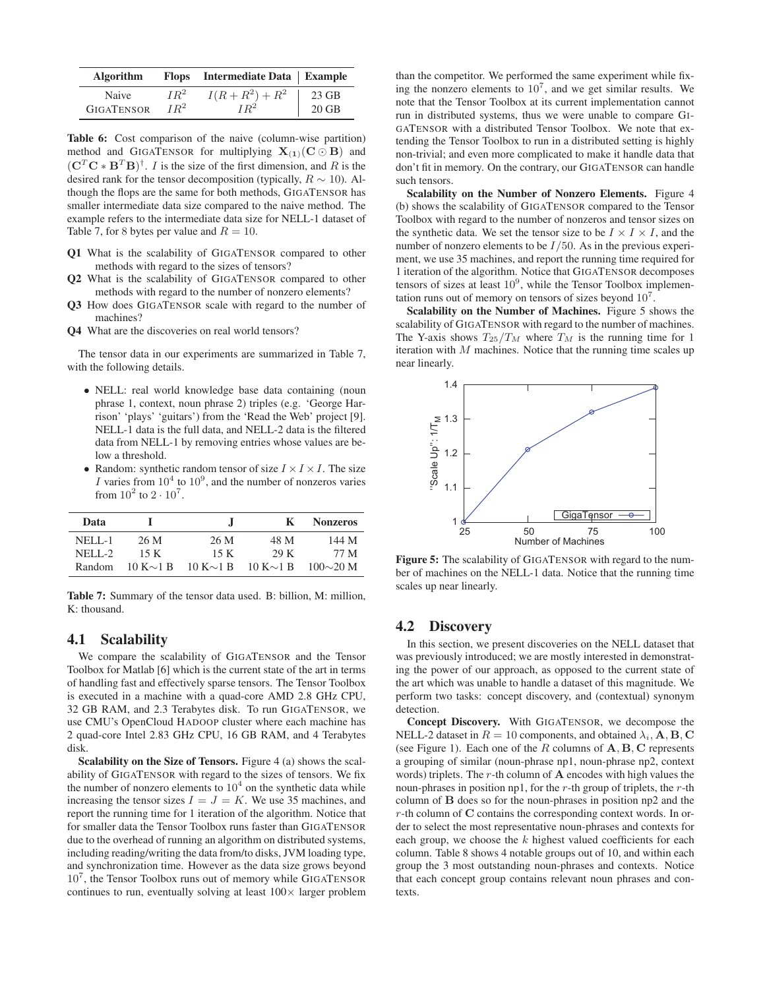| <b>Algorithm</b>  |        | Flops Intermediate Data   Example |         |
|-------------------|--------|-----------------------------------|---------|
| Naive             | $IR^2$ | $I(R + R^2) + R^2$                | 23 GB   |
| <b>GIGATENSOR</b> | $IR^2$ | $IR^2$                            | $20$ GB |

Table 6: Cost comparison of the naive (column-wise partition) method and GIGATENSOR for multiplying  $X_{(1)}(C \odot B)$  and  $({\bf C}^T{\bf C} * {\bf B}^T{\bf B})^{\dagger}$ . *I* is the size of the first dimension, and *R* is the desired rank for the tensor decomposition (typically,  $R \sim 10$ ). Although the flops are the same for both methods, GIGATENSOR has smaller intermediate data size compared to the naive method. The example refers to the intermediate data size for NELL-1 dataset of Table 7, for 8 bytes per value and  $R = 10$ .

- Q1 What is the scalability of GIGATENSOR compared to other methods with regard to the sizes of tensors?
- Q2 What is the scalability of GIGATENSOR compared to other methods with regard to the number of nonzero elements?
- Q3 How does GIGATENSOR scale with regard to the number of machines?
- Q4 What are the discoveries on real world tensors?

The tensor data in our experiments are summarized in Table 7, with the following details.

- NELL: real world knowledge base data containing (noun phrase 1, context, noun phrase 2) triples (e.g. 'George Harrison' 'plays' 'guitars') from the 'Read the Web' project [9]. NELL-1 data is the full data, and NELL-2 data is the filtered data from NELL-1 by removing entries whose values are below a threshold.
- Random: synthetic random tensor of size  $I \times I \times I$ . The size I varies from  $10^4$  to  $10^9$ , and the number of nonzeros varies from  $10^2$  to  $2 \cdot 10^7$ .

| Data          |                 | Л.              | к               | <b>Nonzeros</b> |
|---------------|-----------------|-----------------|-----------------|-----------------|
| <b>NELL-1</b> | 26 M            | 26 M            | 48 M            | 144 M           |
| $NELL-2$      | 15 K            | 15 K            | 29 K            | 77 M            |
| Random        | $10 K \sim 1 B$ | $10 K \sim 1 B$ | $10 K \sim 1 B$ | $100\sim20$ M   |

Table 7: Summary of the tensor data used. B: billion, M: million, K: thousand.

# 4.1 Scalability

We compare the scalability of GIGATENSOR and the Tensor Toolbox for Matlab [6] which is the current state of the art in terms of handling fast and effectively sparse tensors. The Tensor Toolbox is executed in a machine with a quad-core AMD 2.8 GHz CPU, 32 GB RAM, and 2.3 Terabytes disk. To run GIGATENSOR, we use CMU's OpenCloud HADOOP cluster where each machine has 2 quad-core Intel 2.83 GHz CPU, 16 GB RAM, and 4 Terabytes disk.

Scalability on the Size of Tensors. Figure 4 (a) shows the scalability of GIGATENSOR with regard to the sizes of tensors. We fix the number of nonzero elements to  $10<sup>4</sup>$  on the synthetic data while increasing the tensor sizes  $I = J = K$ . We use 35 machines, and report the running time for 1 iteration of the algorithm. Notice that for smaller data the Tensor Toolbox runs faster than GIGATENSOR due to the overhead of running an algorithm on distributed systems, including reading/writing the data from/to disks, JVM loading type, and synchronization time. However as the data size grows beyond 10<sup>7</sup>, the Tensor Toolbox runs out of memory while GIGATENSOR continues to run, eventually solving at least  $100\times$  larger problem

than the competitor. We performed the same experiment while fixing the nonzero elements to  $10^7$ , and we get similar results. We note that the Tensor Toolbox at its current implementation cannot run in distributed systems, thus we were unable to compare GI-GATENSOR with a distributed Tensor Toolbox. We note that extending the Tensor Toolbox to run in a distributed setting is highly non-trivial; and even more complicated to make it handle data that don't fit in memory. On the contrary, our GIGATENSOR can handle such tensors.

Scalability on the Number of Nonzero Elements. Figure 4 (b) shows the scalability of GIGATENSOR compared to the Tensor Toolbox with regard to the number of nonzeros and tensor sizes on the synthetic data. We set the tensor size to be  $I \times I \times I$ , and the number of nonzero elements to be  $I/50$ . As in the previous experiment, we use 35 machines, and report the running time required for 1 iteration of the algorithm. Notice that GIGATENSOR decomposes tensors of sizes at least  $10^9$ , while the Tensor Toolbox implementation runs out of memory on tensors of sizes beyond  $10<sup>7</sup>$ .

Scalability on the Number of Machines. Figure 5 shows the scalability of GIGATENSOR with regard to the number of machines. The Y-axis shows  $T_{25}/T_M$  where  $T_M$  is the running time for 1 iteration with  $M$  machines. Notice that the running time scales up near linearly.



Figure 5: The scalability of GIGATENSOR with regard to the number of machines on the NELL-1 data. Notice that the running time scales up near linearly.

## 4.2 Discovery

In this section, we present discoveries on the NELL dataset that was previously introduced; we are mostly interested in demonstrating the power of our approach, as opposed to the current state of the art which was unable to handle a dataset of this magnitude. We perform two tasks: concept discovery, and (contextual) synonym detection.

Concept Discovery. With GIGATENSOR, we decompose the NELL-2 dataset in  $R = 10$  components, and obtained  $\lambda_i$ , **A**, **B**, **C** (see Figure 1). Each one of the R columns of  $A, B, C$  represents a grouping of similar (noun-phrase np1, noun-phrase np2, context words) triplets. The  $r$ -th column of  $A$  encodes with high values the noun-phrases in position np1, for the  $r$ -th group of triplets, the  $r$ -th column of B does so for the noun-phrases in position np2 and the r-th column of C contains the corresponding context words. In order to select the most representative noun-phrases and contexts for each group, we choose the  $k$  highest valued coefficients for each column. Table 8 shows 4 notable groups out of 10, and within each group the 3 most outstanding noun-phrases and contexts. Notice that each concept group contains relevant noun phrases and contexts.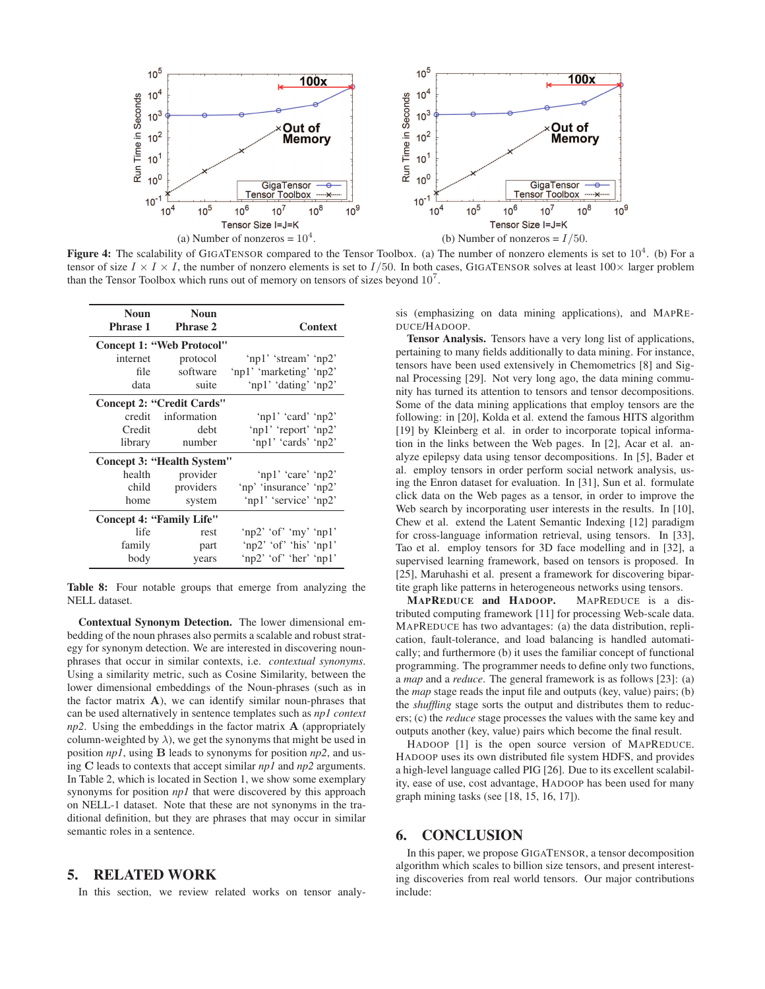

**Figure 4:** The scalability of GIGATENSOR compared to the Tensor Toolbox. (a) The number of nonzero elements is set to  $10^4$ . (b) For a tensor of size  $I \times I \times I$ , the number of nonzero elements is set to  $I/50$ . In both cases, GIGATENSOR solves at least  $100 \times$  larger problem than the Tensor Toolbox which runs out of memory on tensors of sizes beyond  $10<sup>7</sup>$ .

| <b>Noun</b>                     | <b>Noun</b>                      |                         |  |
|---------------------------------|----------------------------------|-------------------------|--|
| <b>Phrase 1</b>                 | <b>Phrase 2</b>                  | Context                 |  |
|                                 | Concept 1: "Web Protocol"        |                         |  |
| internet                        | protocol                         | 'np1' 'stream' 'np2'    |  |
| file                            | software                         | 'np1' 'marketing' 'np2' |  |
| data                            | suite                            | 'np1' 'dating' 'np2'    |  |
|                                 | <b>Concept 2: "Credit Cards"</b> |                         |  |
| credit                          | information                      | 'np1' 'card' 'np2'      |  |
| Credit                          | debt                             | 'np1' 'report' 'np2'    |  |
| library                         | number                           | 'np1' 'cards' 'np2'     |  |
|                                 | Concept 3: "Health System"       |                         |  |
| health                          | provider                         | 'np1' 'care' 'np2'      |  |
| child                           | providers                        | 'np' 'insurance' 'np2'  |  |
| home                            | system                           | 'np1' 'service' 'np2'   |  |
| <b>Concept 4: "Family Life"</b> |                                  |                         |  |
| life                            | rest                             | 'np2' 'of' 'my' 'np1'   |  |
| family                          | part                             | 'np2' 'of' 'his' 'np1'  |  |
| body                            | years                            | 'np2' 'of' 'her' 'np1'  |  |

Table 8: Four notable groups that emerge from analyzing the NELL dataset.

Contextual Synonym Detection. The lower dimensional embedding of the noun phrases also permits a scalable and robust strategy for synonym detection. We are interested in discovering nounphrases that occur in similar contexts, i.e. *contextual synonyms*. Using a similarity metric, such as Cosine Similarity, between the lower dimensional embeddings of the Noun-phrases (such as in the factor matrix  $A$ ), we can identify similar noun-phrases that can be used alternatively in sentence templates such as *np1 context np2*. Using the embeddings in the factor matrix A (appropriately column-weighted by  $\lambda$ ), we get the synonyms that might be used in position *np1*, using B leads to synonyms for position *np2*, and using C leads to contexts that accept similar *np1* and *np2* arguments. In Table 2, which is located in Section 1, we show some exemplary synonyms for position *np1* that were discovered by this approach on NELL-1 dataset. Note that these are not synonyms in the traditional definition, but they are phrases that may occur in similar semantic roles in a sentence.

# 5. RELATED WORK

In this section, we review related works on tensor analy-

sis (emphasizing on data mining applications), and MAPRE-DUCE/HADOOP.

Tensor Analysis. Tensors have a very long list of applications, pertaining to many fields additionally to data mining. For instance, tensors have been used extensively in Chemometrics [8] and Signal Processing [29]. Not very long ago, the data mining community has turned its attention to tensors and tensor decompositions. Some of the data mining applications that employ tensors are the following: in [20], Kolda et al. extend the famous HITS algorithm [19] by Kleinberg et al. in order to incorporate topical information in the links between the Web pages. In [2], Acar et al. analyze epilepsy data using tensor decompositions. In [5], Bader et al. employ tensors in order perform social network analysis, using the Enron dataset for evaluation. In [31], Sun et al. formulate click data on the Web pages as a tensor, in order to improve the Web search by incorporating user interests in the results. In [10], Chew et al. extend the Latent Semantic Indexing [12] paradigm for cross-language information retrieval, using tensors. In [33], Tao et al. employ tensors for 3D face modelling and in [32], a supervised learning framework, based on tensors is proposed. In [25], Maruhashi et al. present a framework for discovering bipartite graph like patterns in heterogeneous networks using tensors.

MAPREDUCE and HADOOP. MAPREDUCE is a distributed computing framework [11] for processing Web-scale data. MAPREDUCE has two advantages: (a) the data distribution, replication, fault-tolerance, and load balancing is handled automatically; and furthermore (b) it uses the familiar concept of functional programming. The programmer needs to define only two functions, a *map* and a *reduce*. The general framework is as follows [23]: (a) the *map* stage reads the input file and outputs (key, value) pairs; (b) the *shuffling* stage sorts the output and distributes them to reducers; (c) the *reduce* stage processes the values with the same key and outputs another (key, value) pairs which become the final result.

HADOOP [1] is the open source version of MAPREDUCE. HADOOP uses its own distributed file system HDFS, and provides a high-level language called PIG [26]. Due to its excellent scalability, ease of use, cost advantage, HADOOP has been used for many graph mining tasks (see [18, 15, 16, 17]).

# 6. CONCLUSION

In this paper, we propose GIGATENSOR, a tensor decomposition algorithm which scales to billion size tensors, and present interesting discoveries from real world tensors. Our major contributions include: